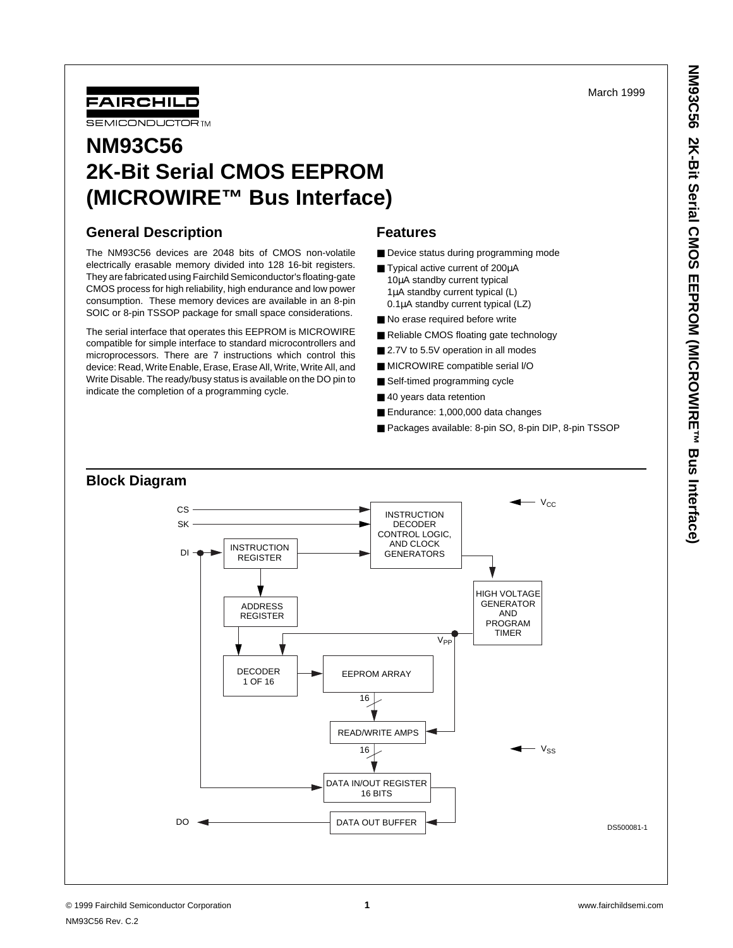March 1999



# **NM93C56 2K-Bit Serial CMOS EEPROM (MICROWIRE™ Bus Interface)**

# **General Description**

The NM93C56 devices are 2048 bits of CMOS non-volatile electrically erasable memory divided into 128 16-bit registers. They are fabricated using Fairchild Semiconductor's floating-gate CMOS process for high reliability, high endurance and low power consumption. These memory devices are available in an 8-pin SOIC or 8-pin TSSOP package for small space considerations.

The serial interface that operates this EEPROM is MICROWIRE compatible for simple interface to standard microcontrollers and microprocessors. There are 7 instructions which control this device: Read, Write Enable, Erase, Erase All, Write, Write All, and Write Disable. The ready/busy status is available on the DO pin to indicate the completion of a programming cycle.

## **Features**

- Device status during programming mode
- Typical active current of 200µA 10µA standby current typical 1µA standby current typical (L) 0.1µA standby current typical (LZ)
- No erase required before write
- Reliable CMOS floating gate technology
- 2.7V to 5.5V operation in all modes
- MICROWIRE compatible serial I/O
- Self-timed programming cycle
- 40 years data retention
- Endurance: 1,000,000 data changes
- Packages available: 8-pin SO, 8-pin DIP, 8-pin TSSOP

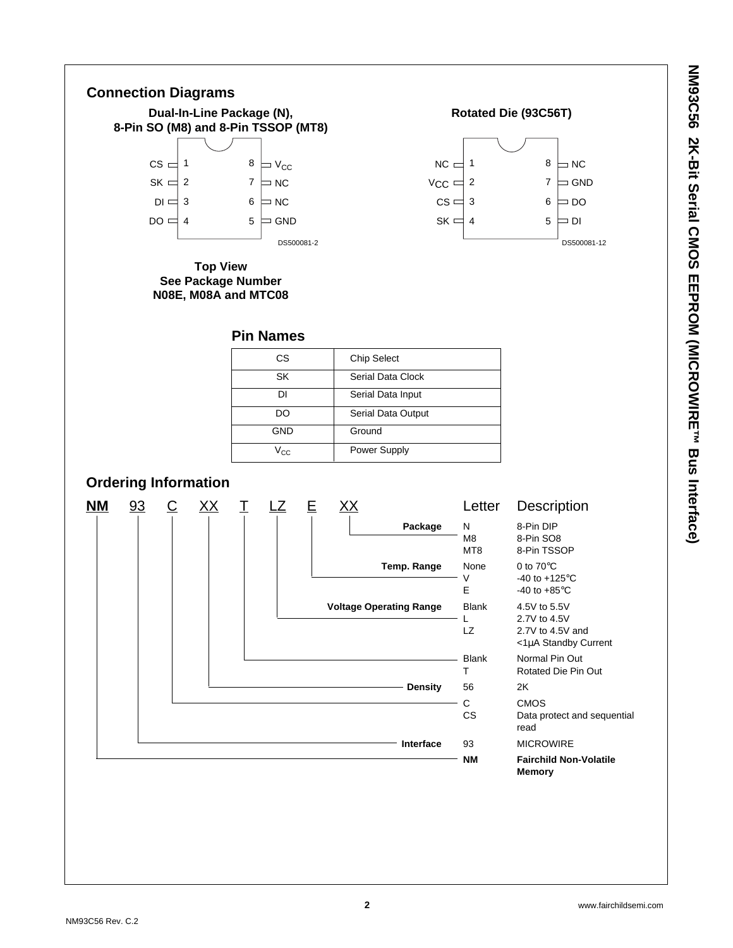

#### **Rotated Die (93C56T)**



#### **Pin Names**

| CS.                     | <b>Chip Select</b> |
|-------------------------|--------------------|
| SK                      | Serial Data Clock  |
| DΙ                      | Serial Data Input  |
| DO                      | Serial Data Output |
| GND                     | Ground             |
| $V_{\text{C} \text{C}}$ | Power Supply       |
|                         |                    |

# **Ordering Information**

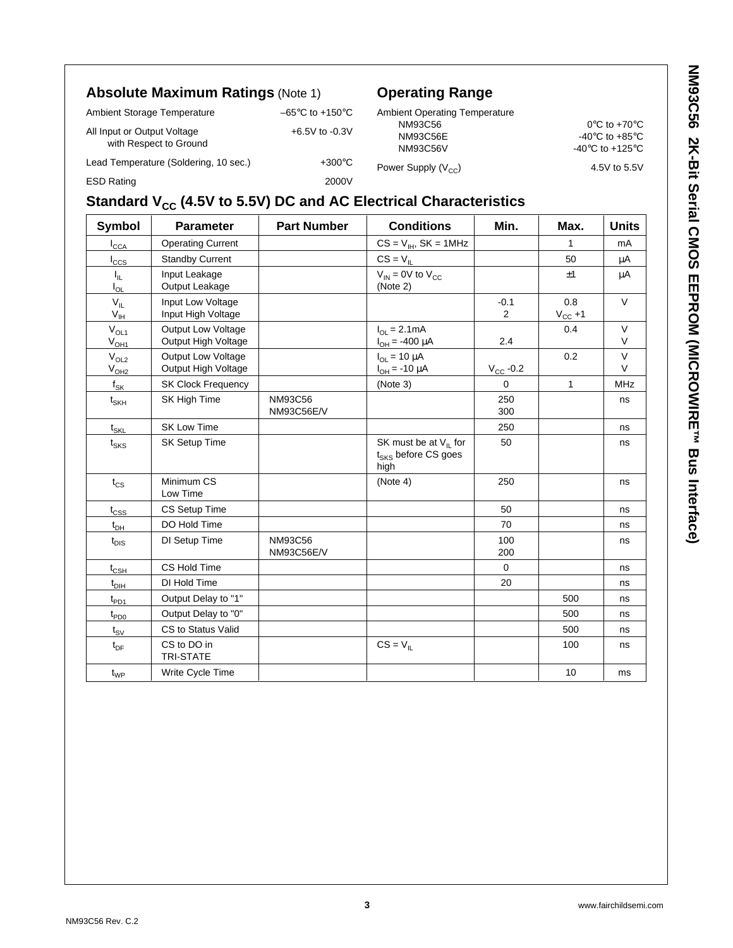# **Absolute Maximum Ratings** (Note 1)

Lead Temperature (Soldering, 10 sec.) +300°C ESD Rating 2000V

with Respect to Ground

|                             |                                      | $  -$            |
|-----------------------------|--------------------------------------|------------------|
| Ambient Storage Temperature | $-65^{\circ}$ C to +150 $^{\circ}$ C | Ambien           |
| All Input or Output Voltage | $+6.5V$ to $-0.3V$                   | N٨<br><b>NIN</b> |

# **Operating Range**

| <b>Ambient Operating Temperature</b> |                                       |
|--------------------------------------|---------------------------------------|
| NM93C56                              | $0^{\circ}$ C to +70 $^{\circ}$ C     |
| NM93C56E                             | -40 $\degree$ C to +85 $\degree$ C    |
| <b>NM93C56V</b>                      | -40 $^{\circ}$ C to +125 $^{\circ}$ C |
| Power Supply $(V_{CC})$              | 4.5V to 5.5V                          |

# **Standard V<sub>CC</sub> (4.5V to 5.5V) DC and AC Electrical Characteristics**

| <b>Symbol</b>               | <b>Parameter</b>                                 | <b>Part Number</b>                  | <b>Conditions</b>                                                     | Min.                 | Max.                | <b>Units</b>     |
|-----------------------------|--------------------------------------------------|-------------------------------------|-----------------------------------------------------------------------|----------------------|---------------------|------------------|
| $I_{\text{CCA}}$            | <b>Operating Current</b>                         |                                     | $CS = V_{IH}$ , $SK = 1MHz$                                           |                      | 1                   | mA               |
| $I_{\rm CCS}$               | <b>Standby Current</b>                           |                                     | $CS = V_{IL}$                                                         |                      | 50                  | μA               |
| $I_{\rm IL}$<br>$I_{OL}$    | Input Leakage<br>Output Leakage                  |                                     | $V_{IN}$ = 0V to $V_{CC}$<br>(Note 2)                                 |                      | ±1                  | μA               |
| $V_{IL}$<br>$V_{\text{IH}}$ | Input Low Voltage<br>Input High Voltage          |                                     |                                                                       | $-0.1$<br>2          | 0.8<br>$V_{CC} + 1$ | $\vee$           |
| $\rm V_{OL1}$<br>$V_{OH1}$  | <b>Output Low Voltage</b><br>Output High Voltage |                                     | $I_{OL} = 2.1mA$<br>$I_{OH} = -400 \mu A$                             | 2.4                  | 0.4                 | $\vee$<br>$\vee$ |
| $V_{OL2}$<br>$V_{OH2}$      | <b>Output Low Voltage</b><br>Output High Voltage |                                     | $I_{OL}$ = 10 $\mu$ A<br>$I_{OH} = -10 \mu A$                         | $V_{\text{CC}}$ -0.2 | 0.2                 | $\vee$<br>V      |
| $f_{\mathsf{SK}}$           | <b>SK Clock Frequency</b>                        |                                     | (Note 3)                                                              | $\Omega$             | $\mathbf{1}$        | MHz              |
| $t_{\mathsf{SKH}}$          | SK High Time                                     | <b>NM93C56</b><br><b>NM93C56E/V</b> |                                                                       | 250<br>300           |                     | ns               |
| $t_{SKL}$                   | <b>SK Low Time</b>                               |                                     |                                                                       | 250                  |                     | ns               |
| $t_{\text{SKS}}$            | SK Setup Time                                    |                                     | SK must be at $V_{II}$ for<br>t <sub>SKS</sub> before CS goes<br>high | 50                   |                     | ns               |
| $t_{CS}$                    | Minimum CS<br>Low Time                           |                                     | (Note 4)                                                              | 250                  |                     | ns               |
| $t_{\text{CSS}}$            | CS Setup Time                                    |                                     |                                                                       | 50                   |                     | ns               |
| $t_{DH}$                    | DO Hold Time                                     |                                     |                                                                       | 70                   |                     | ns               |
| $t_{DIS}$                   | DI Setup Time                                    | NM93C56<br>NM93C56E/V               |                                                                       | 100<br>200           |                     | ns               |
| $t_{\mathsf{CSH}}$          | CS Hold Time                                     |                                     |                                                                       | $\mathbf 0$          |                     | ns               |
| $t_{DH}$                    | DI Hold Time                                     |                                     |                                                                       | 20                   |                     | ns               |
| $t_{PD1}$                   | Output Delay to "1"                              |                                     |                                                                       |                      | 500                 | ns               |
| $t_{PDO}$                   | Output Delay to "0"                              |                                     |                                                                       |                      | 500                 | ns               |
| $t_{\rm SV}$                | CS to Status Valid                               |                                     |                                                                       |                      | 500                 | ns               |
| $t_{DF}$                    | CS to DO in<br><b>TRI-STATE</b>                  |                                     | $CS = V_{IL}$                                                         |                      | 100                 | ns               |
| $t_{WP}$                    | Write Cycle Time                                 |                                     |                                                                       |                      | 10                  | ms               |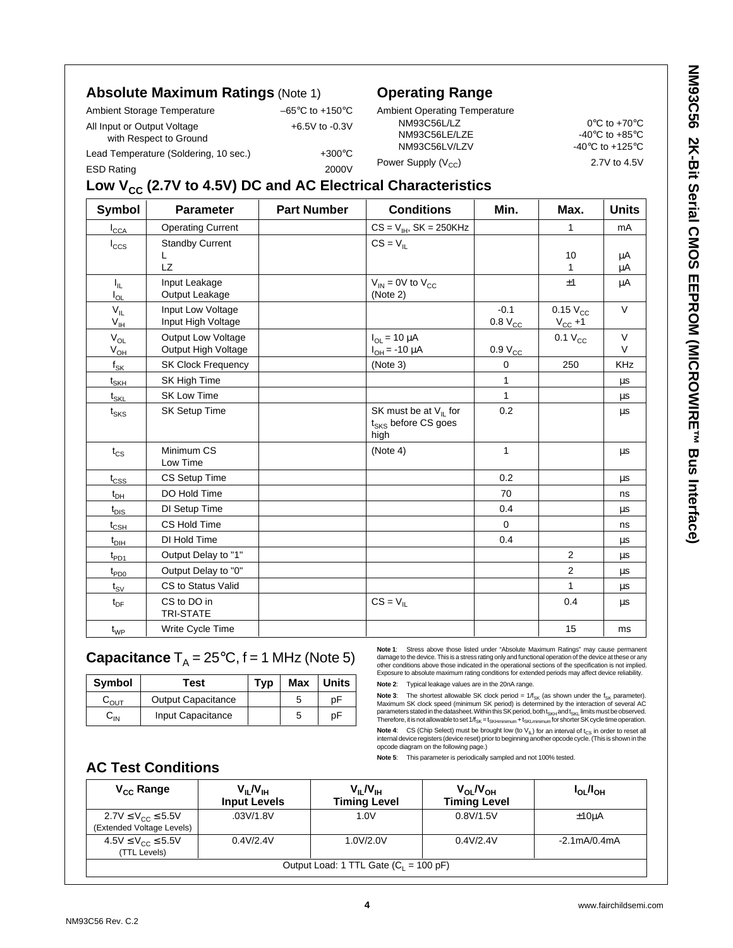## **Absolute Maximum Ratings** (Note 1)

Lead Temperature (Soldering, 10 sec.) +300°C ESD Rating 2000V

Ambient Storage Temperature –65°C to +150°C

All Input or Output Voltage  $+6.5V$  to -0.3V with Respect to Ground

## **Operating Range**

| <b>Ambient Operating Temperature</b> |                                                       |
|--------------------------------------|-------------------------------------------------------|
| NM93C56L/LZ                          | $0^{\circ}$ C to +70 $^{\circ}$ C                     |
| NM93C56LE/LZE                        | -40 $\mathrm{^{\circ}C}$ to +85 $\mathrm{^{\circ}C}$  |
| NM93C56LV/LZV                        | -40 $\mathrm{^{\circ}C}$ to +125 $\mathrm{^{\circ}C}$ |
| Power Supply $(V_{CC})$              | 2.7V to 4.5V                                          |

# Low V<sub>CC</sub> (2.7V to 4.5V) DC and AC Electrical Characteristics

| <b>Symbol</b>                 | <b>Parameter</b>                                 | <b>Part Number</b> | <b>Conditions</b><br>Min.                                             |                               | Max.                          | <b>Units</b>     |
|-------------------------------|--------------------------------------------------|--------------------|-----------------------------------------------------------------------|-------------------------------|-------------------------------|------------------|
| $I_{\text{CCA}}$              | <b>Operating Current</b>                         |                    | $CS = V_{IH}$ , $SK = 250KHz$                                         |                               | 1                             | mA               |
| $I_{\text{CCS}}$              | <b>Standby Current</b><br>L<br>LZ                |                    | $CS = VII$                                                            |                               | 10<br>1                       | μA<br>μA         |
| $I_{\rm IL}$<br>$I_{OL}$      | Input Leakage<br>Output Leakage                  |                    | $V_{IN}$ = 0V to $V_{CC}$<br>(Note 2)                                 |                               | ±1                            | μA               |
| $V_{IL}$<br>$V_{IH}$          | Input Low Voltage<br>Input High Voltage          |                    |                                                                       | $-0.1$<br>0.8 V <sub>CC</sub> | $0.15 V_{CC}$<br>$V_{CC} + 1$ | $\vee$           |
| $V_{OL}$<br>$V_{OH}$          | <b>Output Low Voltage</b><br>Output High Voltage |                    | $I_{OL} = 10 \mu A$<br>$I_{OH} = -10 \mu A$                           | 0.9 V <sub>CC</sub>           | $0.1 V_{CC}$                  | $\vee$<br>$\vee$ |
| $f_{SK}$                      | <b>SK Clock Frequency</b>                        |                    | (Note 3)                                                              | $\mathbf 0$                   | 250                           | <b>KHz</b>       |
| $\mathfrak{t}_{\mathsf{SKH}}$ | SK High Time                                     |                    |                                                                       | $\mathbf{1}$                  |                               | μs               |
| $t_{\text{SKL}}$              | <b>SK Low Time</b>                               |                    |                                                                       | $\mathbf{1}$                  |                               | μs               |
| $t_{\text{SKS}}$              | SK Setup Time                                    |                    | SK must be at $V_{IL}$ for<br>t <sub>SKS</sub> before CS goes<br>high | 0.2                           |                               | μs               |
| $t_{CS}$                      | Minimum CS<br>Low Time                           |                    | (Note 4)                                                              | $\mathbf{1}$                  |                               | $\mu s$          |
| $t_{\text{CSS}}$              | CS Setup Time                                    |                    |                                                                       | 0.2                           |                               | μs               |
| $t_{DH}$                      | DO Hold Time                                     |                    |                                                                       | 70                            |                               | ns               |
| $t_{\text{DIS}}$              | DI Setup Time                                    |                    |                                                                       | 0.4                           |                               | μs               |
| $t_{CSH}$                     | CS Hold Time                                     |                    |                                                                       | $\Omega$                      |                               | ns               |
| $t_{\text{DH}}$               | DI Hold Time                                     |                    |                                                                       | 0.4                           |                               | $\mu s$          |
| $t_{\mathsf{PD1}}$            | Output Delay to "1"                              |                    |                                                                       |                               | 2                             | $\mu s$          |
| $t_{PDO}$                     | Output Delay to "0"                              |                    |                                                                       |                               | $\overline{2}$                | μs               |
| $t_{\text{SV}}$               | CS to Status Valid                               |                    |                                                                       |                               | 1                             | μs               |
| $t_{DF}$                      | CS to DO in<br><b>TRI-STATE</b>                  |                    | $CS = VII$                                                            |                               | 0.4                           | $\mu s$          |
| $t_{WP}$                      | Write Cycle Time                                 |                    |                                                                       |                               | 15                            | ms               |

## **Capacitance**  $T_A = 25^{\circ}C$ ,  $f = 1$  MHz (Note 5)

| <b>Symbol</b>             | Test                      | Typ | Max | Units |
|---------------------------|---------------------------|-----|-----|-------|
| $\mathsf{C}_\mathsf{OUT}$ | <b>Output Capacitance</b> |     | 5   | рF    |
| ᅛ៲៷                       | Input Capacitance         |     | 5   | p⊦    |

**Note 1**: Stress above those listed under "Absolute Maximum Ratings" may cause permanent damage to the device. This is a stress rating only and functional operation of the device at these or any other conditions above those indicated in the operational sections of the specification is not implied. Exposure to absolute maximum rating conditions for extended periods may affect device reliability.

**Note 2**: Typical leakage values are in the 20nA range.

**Note 3**: The shortest allowable SK clock period = 1/f<sub>sk</sub> (as shown under the f<sub>sk</sub> parameter).<br>Maximum SK clock speed (minimum SK period) is determined by the interaction of several AC<br>parameters statedin the datasheet.W Therefore, it is not allowable to set  $1/f_{SK} = t_{SKHminimum} + t_{SKLminimum}$  for shorter SK cycle time operation.

**Note 4:** CS (Chip Select) must be brought low (to V<sub>IL</sub>) for an interval of t<sub>CS</sub> in order to reset all<br>internal device registers (device reset) prior to beginning another opcode cycle. (This is shown in the<br>opcode diagra

**Note 5**: This parameter is periodically sampled and not 100% tested.

## **AC Test Conditions**

| $V_{\rm CC}$ Range                               | $V_{IL}N_{IH}$<br><b>Input Levels</b> | $V_{\parallel}$ $N_{\parallel}$<br><b>Timing Level</b> | $V_{OL}/V_{OH}$<br><b>Timing Level</b> | $I_{OL}/I_{OH}$                |  |
|--------------------------------------------------|---------------------------------------|--------------------------------------------------------|----------------------------------------|--------------------------------|--|
| 2.7V ≤ $V_{CC}$ ≤ 5.5V                           | .03V/1.8V                             | 1.0V                                                   | 0.8V/1.5V                              | $±10\mu A$                     |  |
| (Extended Voltage Levels)                        |                                       |                                                        |                                        |                                |  |
| $4.5V \leq V_{CC} \leq 5.5V$                     | 0.4V/2.4V                             | 1.0V/2.0V                                              | 0.4V/2.4V                              | $-2.1 \text{mA}/0.4 \text{mA}$ |  |
| (TTL Levels)                                     |                                       |                                                        |                                        |                                |  |
| Output Load: 1 TTL Gate $(C_1 = 100 \text{ pF})$ |                                       |                                                        |                                        |                                |  |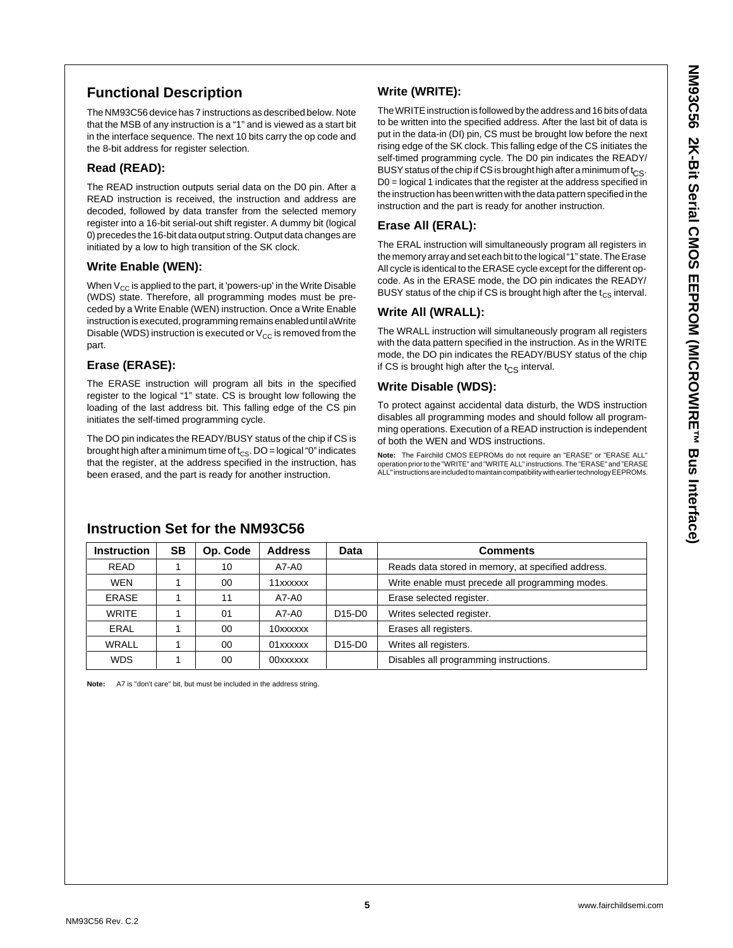# **Functional Description**

The NM93C56 device has 7 instructions as described below. Note that the MSB of any instruction is a "1" and is viewed as a start bit in the interface sequence. The next 10 bits carry the op code and the 8-bit address for register selection.

#### **Read (READ):**

The READ instruction outputs serial data on the D0 pin. After a READ instruction is received, the instruction and address are decoded, followed by data transfer from the selected memory register into a 16-bit serial-out shift register. A dummy bit (logical 0) precedes the 16-bit data output string. Output data changes are initiated by a low to high transition of the SK clock.

#### **Write Enable (WEN):**

When  $V_{CC}$  is applied to the part, it 'powers-up' in the Write Disable (WDS) state. Therefore, all programming modes must be preceded by a Write Enable (WEN) instruction. Once a Write Enable instruction is executed, programming remains enabled until aWrite Disable (WDS) instruction is executed or  $V_{CC}$  is removed from the part.

## **Erase (ERASE):**

The ERASE instruction will program all bits in the specified register to the logical "1" state. CS is brought low following the loading of the last address bit. This falling edge of the CS pin initiates the self-timed programming cycle.

The DO pin indicates the READY/BUSY status of the chip if CS is brought high after a minimum time of  $t_{CS}$ . DO = logical "0" indicates that the register, at the address specified in the instruction, has been erased, and the part is ready for another instruction.

## **Write (WRITE):**

The WRITE instruction is followed by the address and 16 bits of data to be written into the specified address. After the last bit of data is put in the data-in (DI) pin, CS must be brought low before the next rising edge of the SK clock. This falling edge of the CS initiates the self-timed programming cycle. The D0 pin indicates the READY/ BUSY status of the chip if CS is brought high after a minimum of  $t_{CS}$ . D0 = logical 1 indicates that the register at the address specified in the instruction has been written with the data pattern specified in the instruction and the part is ready for another instruction.

#### **Erase All (ERAL):**

The ERAL instruction will simultaneously program all registers in the memory array and set each bit to the logical "1" state. The Erase All cycle is identical to the ERASE cycle except for the different opcode. As in the ERASE mode, the DO pin indicates the READY/ BUSY status of the chip if CS is brought high after the  $t_{CS}$  interval.

#### **Write All (WRALL):**

The WRALL instruction will simultaneously program all registers with the data pattern specified in the instruction. As in the WRITE mode, the DO pin indicates the READY/BUSY status of the chip if CS is brought high after the  $t_{CS}$  interval.

## **Write Disable (WDS):**

To protect against accidental data disturb, the WDS instruction disables all programming modes and should follow all programming operations. Execution of a READ instruction is independent of both the WEN and WDS instructions.

**Note:** The Fairchild CMOS EEPROMs do not require an "ERASE" or "ERASE ALL" operation prior to the "WRITE" and "WRITE ALL" instructions. The "ERASE" and "ERASE ALL" instructions are included to maintain compatibility with earlier technology EEPROMs.

| <b>Instruction</b> | <b>SB</b> | Op. Code | <b>Address</b> | Data                            | <b>Comments</b>                                    |
|--------------------|-----------|----------|----------------|---------------------------------|----------------------------------------------------|
| <b>READ</b>        |           | 10       | A7-A0          |                                 | Reads data stored in memory, at specified address. |
| <b>WEN</b>         |           | 00       | 11xxxxxx       |                                 | Write enable must precede all programming modes.   |
| ERASE              |           | 11       | A7-A0          |                                 | Erase selected register.                           |
| <b>WRITE</b>       |           | 01       | A7-A0          | D <sub>15</sub> -D <sub>0</sub> | Writes selected register.                          |
| ERAL               |           | 00       | 10xxxxxx       |                                 | Erases all registers.                              |
| WRALL              |           | 00       | 01xxxxxx       | D <sub>15</sub> -D <sub>0</sub> | Writes all registers.                              |
| <b>WDS</b>         |           | 00       | 00xxxxxx       |                                 | Disables all programming instructions.             |

## **Instruction Set for the NM93C56**

**Note:** A7 is "don't care" bit, but must be included in the address string.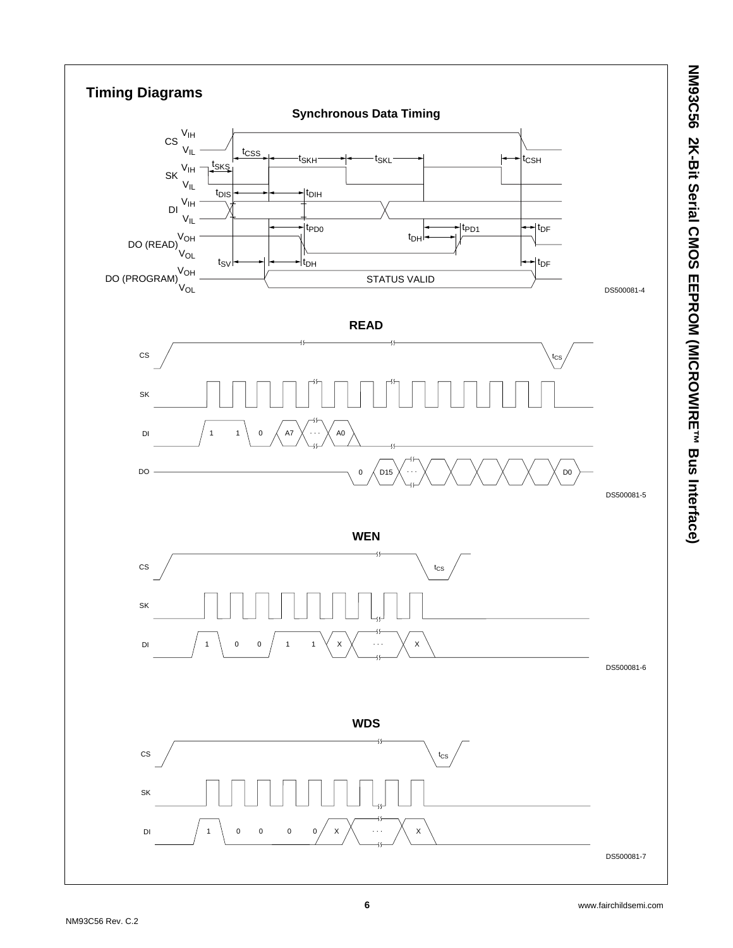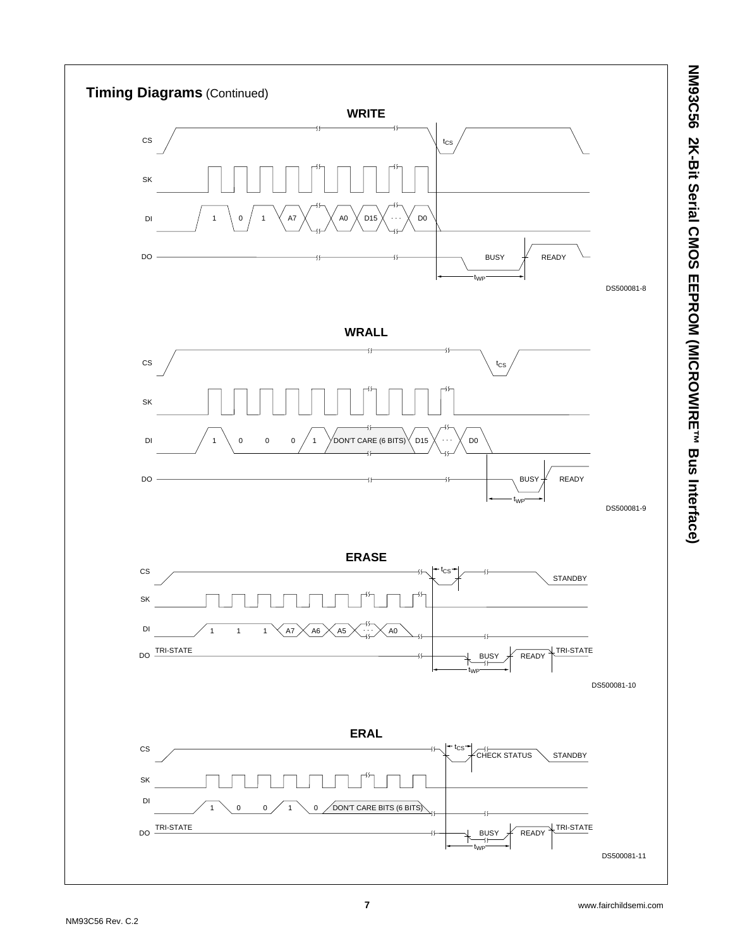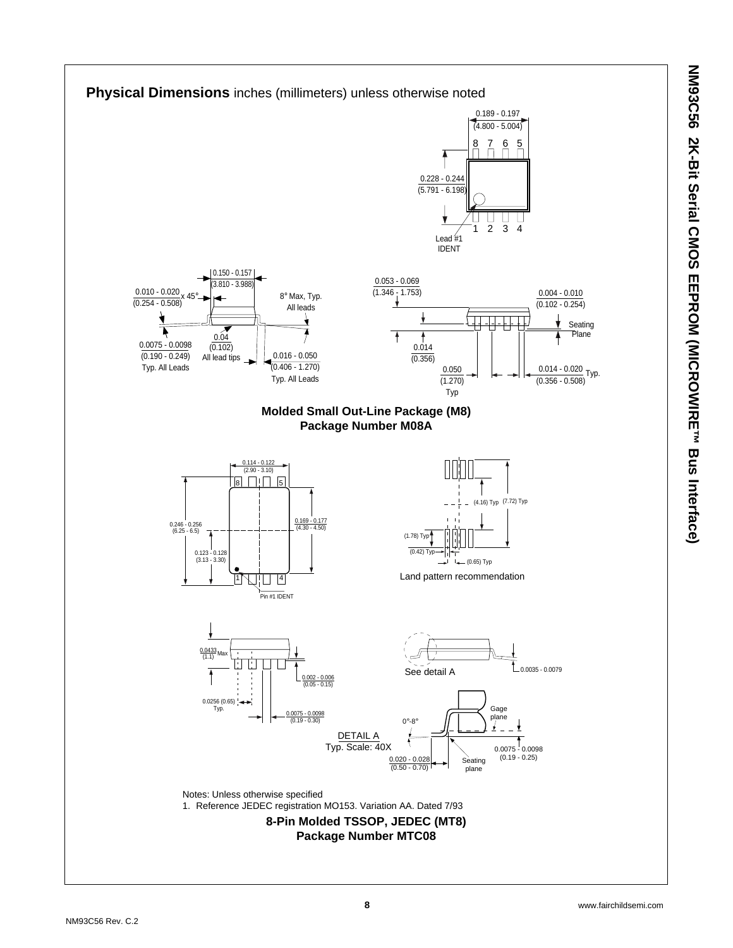